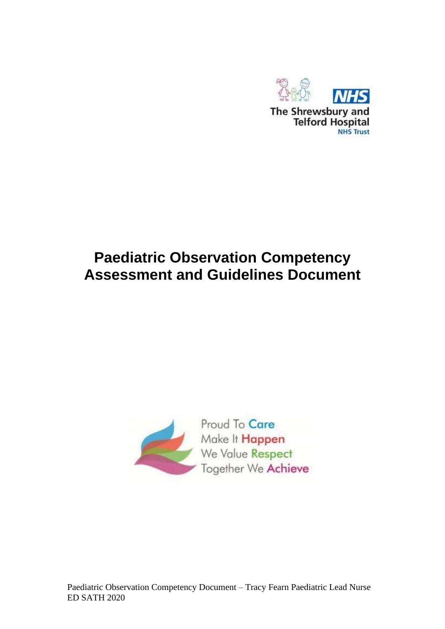

# **Paediatric Observation Competency Assessment and Guidelines Document**

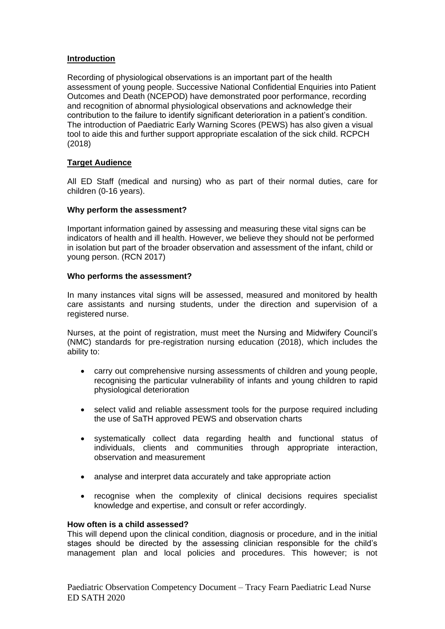## **Introduction**

Recording of physiological observations is an important part of the health assessment of young people. Successive National Confidential Enquiries into Patient Outcomes and Death (NCEPOD) have demonstrated poor performance, recording and recognition of abnormal physiological observations and acknowledge their contribution to the failure to identify significant deterioration in a patient's condition. The introduction of Paediatric Early Warning Scores (PEWS) has also given a visual tool to aide this and further support appropriate escalation of the sick child. RCPCH (2018)

## **Target Audience**

All ED Staff (medical and nursing) who as part of their normal duties, care for children (0-16 years).

## **Why perform the assessment?**

Important information gained by assessing and measuring these vital signs can be indicators of health and ill health. However, we believe they should not be performed in isolation but part of the broader observation and assessment of the infant, child or young person. (RCN 2017)

#### **Who performs the assessment?**

In many instances vital signs will be assessed, measured and monitored by health care assistants and nursing students, under the direction and supervision of a registered nurse.

Nurses, at the point of registration, must meet the Nursing and Midwifery Council's (NMC) standards for pre-registration nursing education (2018), which includes the ability to:

- carry out comprehensive nursing assessments of children and young people, recognising the particular vulnerability of infants and young children to rapid physiological deterioration
- select valid and reliable assessment tools for the purpose required including the use of SaTH approved PEWS and observation charts
- systematically collect data regarding health and functional status of individuals, clients and communities through appropriate interaction, observation and measurement
- analyse and interpret data accurately and take appropriate action
- recognise when the complexity of clinical decisions requires specialist knowledge and expertise, and consult or refer accordingly.

#### **How often is a child assessed?**

This will depend upon the clinical condition, diagnosis or procedure, and in the initial stages should be directed by the assessing clinician responsible for the child's management plan and local policies and procedures. This however; is not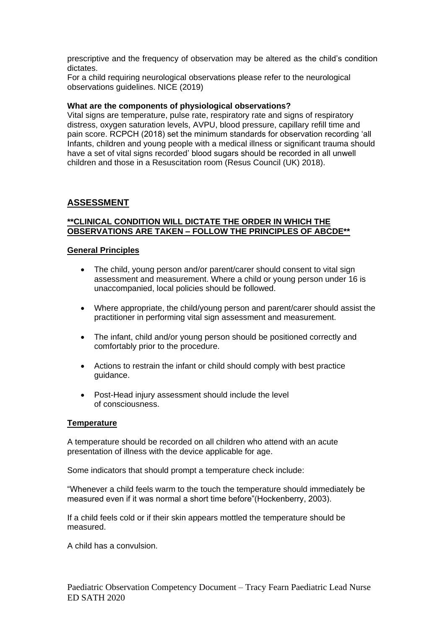prescriptive and the frequency of observation may be altered as the child's condition dictates.

For a child requiring neurological observations please refer to the neurological observations guidelines. NICE (2019)

#### **What are the components of physiological observations?**

Vital signs are temperature, pulse rate, respiratory rate and signs of respiratory distress, oxygen saturation levels, AVPU, blood pressure, capillary refill time and pain score. RCPCH (2018) set the minimum standards for observation recording 'all Infants, children and young people with a medical illness or significant trauma should have a set of vital signs recorded' blood sugars should be recorded in all unwell children and those in a Resuscitation room (Resus Council (UK) 2018).

## **ASSESSMENT**

## **\*\*CLINICAL CONDITION WILL DICTATE THE ORDER IN WHICH THE OBSERVATIONS ARE TAKEN – FOLLOW THE PRINCIPLES OF ABCDE\*\***

#### **General Principles**

- The child, young person and/or parent/carer should consent to vital sign assessment and measurement. Where a child or young person under 16 is unaccompanied, local policies should be followed.
- Where appropriate, the child/young person and parent/carer should assist the practitioner in performing vital sign assessment and measurement.
- The infant, child and/or young person should be positioned correctly and comfortably prior to the procedure.
- Actions to restrain the infant or child should comply with best practice guidance.
- Post-Head injury assessment should include the level of consciousness.

#### **Temperature**

A temperature should be recorded on all children who attend with an acute presentation of illness with the device applicable for age.

Some indicators that should prompt a temperature check include:

"Whenever a child feels warm to the touch the temperature should immediately be measured even if it was normal a short time before"(Hockenberry, 2003).

If a child feels cold or if their skin appears mottled the temperature should be measured.

A child has a convulsion.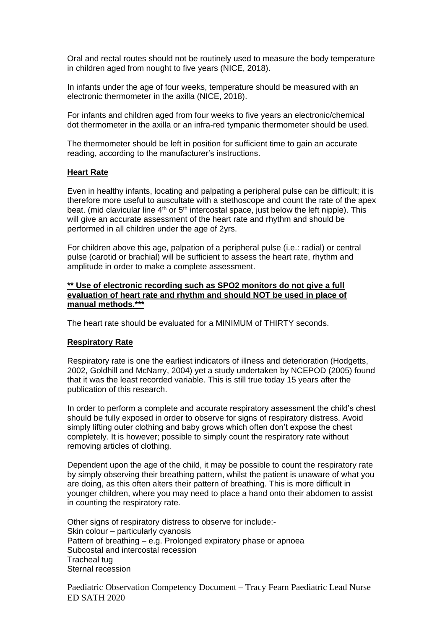Oral and rectal routes should not be routinely used to measure the body temperature in children aged from nought to five years (NICE, 2018).

In infants under the age of four weeks, temperature should be measured with an electronic thermometer in the axilla (NICE, 2018).

For infants and children aged from four weeks to five years an electronic/chemical dot thermometer in the axilla or an infra-red tympanic thermometer should be used.

The thermometer should be left in position for sufficient time to gain an accurate reading, according to the manufacturer's instructions.

#### **Heart Rate**

Even in healthy infants, locating and palpating a peripheral pulse can be difficult; it is therefore more useful to auscultate with a stethoscope and count the rate of the apex beat. (mid clavicular line  $4<sup>th</sup>$  or  $5<sup>th</sup>$  intercostal space, just below the left nipple). This will give an accurate assessment of the heart rate and rhythm and should be performed in all children under the age of 2yrs.

For children above this age, palpation of a peripheral pulse (i.e.: radial) or central pulse (carotid or brachial) will be sufficient to assess the heart rate, rhythm and amplitude in order to make a complete assessment.

#### **\*\* Use of electronic recording such as SPO2 monitors do not give a full evaluation of heart rate and rhythm and should NOT be used in place of manual methods.\*\*\***

The heart rate should be evaluated for a MINIMUM of THIRTY seconds.

#### **Respiratory Rate**

Respiratory rate is one the earliest indicators of illness and deterioration (Hodgetts, 2002, Goldhill and McNarry, 2004) yet a study undertaken by NCEPOD (2005) found that it was the least recorded variable. This is still true today 15 years after the publication of this research.

In order to perform a complete and accurate respiratory assessment the child's chest should be fully exposed in order to observe for signs of respiratory distress. Avoid simply lifting outer clothing and baby grows which often don't expose the chest completely. It is however; possible to simply count the respiratory rate without removing articles of clothing.

Dependent upon the age of the child, it may be possible to count the respiratory rate by simply observing their breathing pattern, whilst the patient is unaware of what you are doing, as this often alters their pattern of breathing. This is more difficult in younger children, where you may need to place a hand onto their abdomen to assist in counting the respiratory rate.

Other signs of respiratory distress to observe for include:- Skin colour – particularly cyanosis Pattern of breathing – e.g. Prolonged expiratory phase or apnoea Subcostal and intercostal recession Tracheal tug Sternal recession

Paediatric Observation Competency Document – Tracy Fearn Paediatric Lead Nurse ED SATH 2020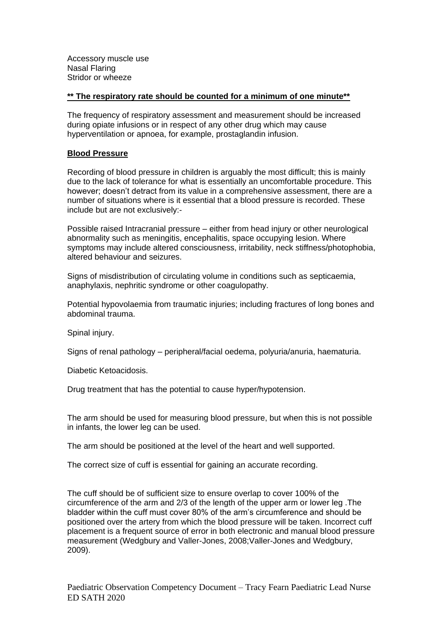Accessory muscle use Nasal Flaring Stridor or wheeze

#### **\*\* The respiratory rate should be counted for a minimum of one minute\*\***

The frequency of respiratory assessment and measurement should be increased during opiate infusions or in respect of any other drug which may cause hyperventilation or apnoea, for example, prostaglandin infusion.

## **Blood Pressure**

Recording of blood pressure in children is arguably the most difficult; this is mainly due to the lack of tolerance for what is essentially an uncomfortable procedure. This however; doesn't detract from its value in a comprehensive assessment, there are a number of situations where is it essential that a blood pressure is recorded. These include but are not exclusively:-

Possible raised Intracranial pressure – either from head injury or other neurological abnormality such as meningitis, encephalitis, space occupying lesion. Where symptoms may include altered consciousness, irritability, neck stiffness/photophobia, altered behaviour and seizures.

Signs of misdistribution of circulating volume in conditions such as septicaemia, anaphylaxis, nephritic syndrome or other coagulopathy.

Potential hypovolaemia from traumatic injuries; including fractures of long bones and abdominal trauma.

Spinal injury.

Signs of renal pathology – peripheral/facial oedema, polyuria/anuria, haematuria.

Diabetic Ketoacidosis.

Drug treatment that has the potential to cause hyper/hypotension.

The arm should be used for measuring blood pressure, but when this is not possible in infants, the lower leg can be used.

The arm should be positioned at the level of the heart and well supported.

The correct size of cuff is essential for gaining an accurate recording.

The cuff should be of sufficient size to ensure overlap to cover 100% of the circumference of the arm and 2/3 of the length of the upper arm or lower leg .The bladder within the cuff must cover 80% of the arm's circumference and should be positioned over the artery from which the blood pressure will be taken. Incorrect cuff placement is a frequent source of error in both electronic and manual blood pressure measurement (Wedgbury and Valler-Jones, 2008;Valler-Jones and Wedgbury, 2009).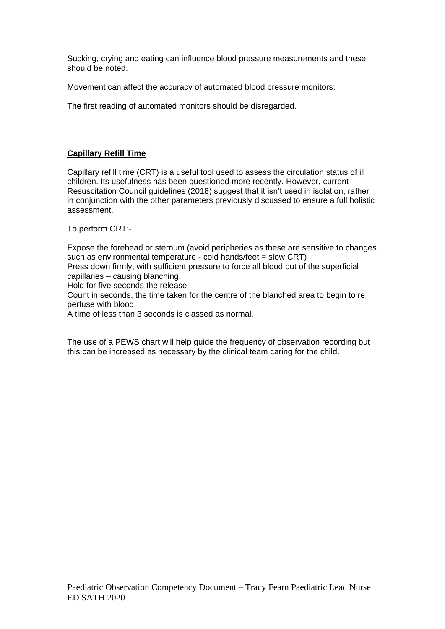Sucking, crying and eating can influence blood pressure measurements and these should be noted.

Movement can affect the accuracy of automated blood pressure monitors.

The first reading of automated monitors should be disregarded.

# **Capillary Refill Time**

Capillary refill time (CRT) is a useful tool used to assess the circulation status of ill children. Its usefulness has been questioned more recently. However, current Resuscitation Council guidelines (2018) suggest that it isn't used in isolation, rather in conjunction with the other parameters previously discussed to ensure a full holistic assessment.

To perform CRT:-

Expose the forehead or sternum (avoid peripheries as these are sensitive to changes such as environmental temperature - cold hands/feet = slow CRT)

Press down firmly, with sufficient pressure to force all blood out of the superficial capillaries – causing blanching.

Hold for five seconds the release

Count in seconds, the time taken for the centre of the blanched area to begin to re perfuse with blood.

A time of less than 3 seconds is classed as normal.

The use of a PEWS chart will help guide the frequency of observation recording but this can be increased as necessary by the clinical team caring for the child.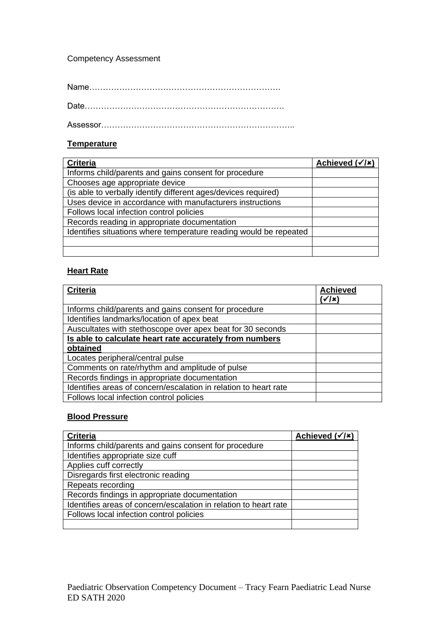## Competency Assessment

Name…………………………………………………………….

Date……………………………………………………………….

Assessor……………………………………………………………..

## **Temperature**

| <b>Criteria</b>                                                   | Achieved $(\checkmark/\checkmark)$ |
|-------------------------------------------------------------------|------------------------------------|
| Informs child/parents and gains consent for procedure             |                                    |
| Chooses age appropriate device                                    |                                    |
| (is able to verbally identify different ages/devices required)    |                                    |
| Uses device in accordance with manufacturers instructions         |                                    |
| Follows local infection control policies                          |                                    |
| Records reading in appropriate documentation                      |                                    |
| Identifies situations where temperature reading would be repeated |                                    |
|                                                                   |                                    |
|                                                                   |                                    |

# **Heart Rate**

| <b>Criteria</b>                                                  | <b>Achieved</b> |
|------------------------------------------------------------------|-----------------|
|                                                                  | '√/x`           |
| Informs child/parents and gains consent for procedure            |                 |
| Identifies landmarks/location of apex beat                       |                 |
| Auscultates with stethoscope over apex beat for 30 seconds       |                 |
| Is able to calculate heart rate accurately from numbers          |                 |
| obtained                                                         |                 |
| Locates peripheral/central pulse                                 |                 |
| Comments on rate/rhythm and amplitude of pulse                   |                 |
| Records findings in appropriate documentation                    |                 |
| Identifies areas of concern/escalation in relation to heart rate |                 |
| Follows local infection control policies                         |                 |

# **Blood Pressure**

| <b>Criteria</b>                                                  | Achieved $(\checkmark/\checkmark)$ |
|------------------------------------------------------------------|------------------------------------|
| Informs child/parents and gains consent for procedure            |                                    |
| Identifies appropriate size cuff                                 |                                    |
| Applies cuff correctly                                           |                                    |
| Disregards first electronic reading                              |                                    |
| Repeats recording                                                |                                    |
| Records findings in appropriate documentation                    |                                    |
| Identifies areas of concern/escalation in relation to heart rate |                                    |
| Follows local infection control policies                         |                                    |
|                                                                  |                                    |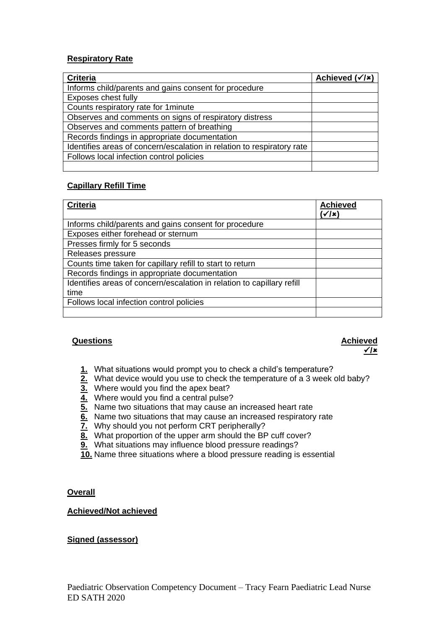## **Respiratory Rate**

| <b>Criteria</b>                                                        | Achieved $(\sqrt{x})$ |
|------------------------------------------------------------------------|-----------------------|
| Informs child/parents and gains consent for procedure                  |                       |
| Exposes chest fully                                                    |                       |
| Counts respiratory rate for 1 minute                                   |                       |
| Observes and comments on signs of respiratory distress                 |                       |
| Observes and comments pattern of breathing                             |                       |
| Records findings in appropriate documentation                          |                       |
| Identifies areas of concern/escalation in relation to respiratory rate |                       |
| Follows local infection control policies                               |                       |
|                                                                        |                       |

# **Capillary Refill Time**

| <b>Criteria</b>                                                        | <b>Achieved</b><br>√/x` |
|------------------------------------------------------------------------|-------------------------|
| Informs child/parents and gains consent for procedure                  |                         |
| Exposes either forehead or sternum                                     |                         |
| Presses firmly for 5 seconds                                           |                         |
| Releases pressure                                                      |                         |
| Counts time taken for capillary refill to start to return              |                         |
| Records findings in appropriate documentation                          |                         |
| Identifies areas of concern/escalation in relation to capillary refill |                         |
| time                                                                   |                         |
| Follows local infection control policies                               |                         |
|                                                                        |                         |

# **Questions Achieved**

# ✓**/**

- **1.** What situations would prompt you to check a child's temperature?
- **2.** What device would you use to check the temperature of a 3 week old baby?
- **3.** Where would you find the apex beat?
- **4.** Where would you find a central pulse?
- **5.** Name two situations that may cause an increased heart rate
- **6.** Name two situations that may cause an increased respiratory rate
- **7.** Why should you not perform CRT peripherally?
- **8.** What proportion of the upper arm should the BP cuff cover?
- **9.** What situations may influence blood pressure readings?
- **10.** Name three situations where a blood pressure reading is essential

## **Overall**

## **Achieved/Not achieved**

## **Signed (assessor)**